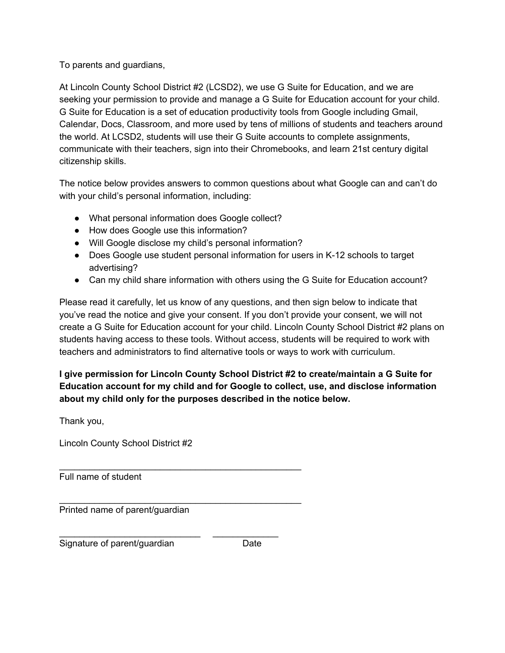#### To parents and guardians,

At Lincoln County School District #2 (LCSD2), we use G Suite for Education, and we are seeking your permission to provide and manage a G Suite for Education account for your child. G Suite for Education is a set of education productivity tools from Google including Gmail, Calendar, Docs, Classroom, and more used by tens of millions of students and teachers around the world. At LCSD2, students will use their G Suite accounts to complete assignments, communicate with their teachers, sign into their Chromebooks, and learn 21st century digital citizenship skills.

The notice below provides answers to common questions about what Google can and can't do with your child's personal information, including:

● What personal information does Google collect?

 $\mathcal{L}_\mathcal{L} = \{ \mathcal{L}_\mathcal{L} = \{ \mathcal{L}_\mathcal{L} = \{ \mathcal{L}_\mathcal{L} = \{ \mathcal{L}_\mathcal{L} = \{ \mathcal{L}_\mathcal{L} = \{ \mathcal{L}_\mathcal{L} = \{ \mathcal{L}_\mathcal{L} = \{ \mathcal{L}_\mathcal{L} = \{ \mathcal{L}_\mathcal{L} = \{ \mathcal{L}_\mathcal{L} = \{ \mathcal{L}_\mathcal{L} = \{ \mathcal{L}_\mathcal{L} = \{ \mathcal{L}_\mathcal{L} = \{ \mathcal{L}_\mathcal{$ 

 $\mathcal{L}_\mathcal{L} = \{ \mathcal{L}_\mathcal{L} = \{ \mathcal{L}_\mathcal{L} = \{ \mathcal{L}_\mathcal{L} = \{ \mathcal{L}_\mathcal{L} = \{ \mathcal{L}_\mathcal{L} = \{ \mathcal{L}_\mathcal{L} = \{ \mathcal{L}_\mathcal{L} = \{ \mathcal{L}_\mathcal{L} = \{ \mathcal{L}_\mathcal{L} = \{ \mathcal{L}_\mathcal{L} = \{ \mathcal{L}_\mathcal{L} = \{ \mathcal{L}_\mathcal{L} = \{ \mathcal{L}_\mathcal{L} = \{ \mathcal{L}_\mathcal{$ 

\_\_\_\_\_\_\_\_\_\_\_\_\_\_\_\_\_\_\_\_\_\_\_\_\_\_\_\_ \_\_\_\_\_\_\_\_\_\_\_\_\_

- How does Google use this information?
- Will Google disclose my child's personal information?
- Does Google use student personal information for users in K-12 schools to target advertising?
- Can my child share information with others using the G Suite for Education account?

Please read it carefully, let us know of any questions, and then sign below to indicate that you've read the notice and give your consent. If you don't provide your consent, we will not create a G Suite for Education account for your child. Lincoln County School District #2 plans on students having access to these tools. Without access, students will be required to work with teachers and administrators to find alternative tools or ways to work with curriculum.

**I give permission for Lincoln County School District #2 to create/maintain a G Suite for Education account for my child and for Google to collect, use, and disclose information about my child only for the purposes described in the notice below.**

Thank you,

Lincoln County School District #2

Full name of student

Printed name of parent/guardian

Signature of parent/guardian Date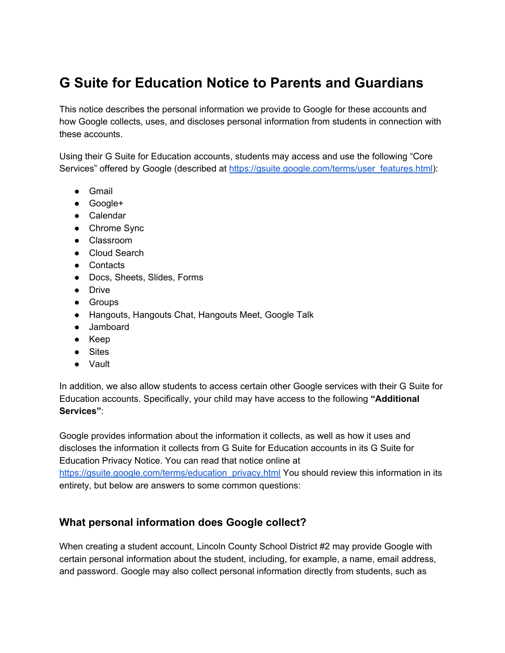# **G Suite for Education Notice to Parents and Guardians**

This notice describes the personal information we provide to Google for these accounts and how Google collects, uses, and discloses personal information from students in connection with these accounts.

Using their G Suite for Education accounts, students may access and use the following "Core Services" offered by Google (described a[t](https://gsuite.google.com/terms/user_features.html) [https://gsuite.google.com/terms/user\\_features.html\)](https://gsuite.google.com/terms/user_features.html):

- Gmail
- Google+
- Calendar
- Chrome Sync
- Classroom
- Cloud Search
- Contacts
- Docs, Sheets, Slides, Forms
- Drive
- Groups
- Hangouts, Hangouts Chat, Hangouts Meet, Google Talk
- Jamboard
- Keep
- Sites
- Vault

In addition, we also allow students to access certain other Google services with their G Suite for Education accounts. Specifically, your child may have access to the following **"Additional Services"**:

Google provides information about the information it collects, as well as how it uses and discloses the information it collects from G Suite for Education accounts in its G Suite for Education Privacy Notice. You can read that notice online a[t](https://gsuite.google.com/terms/education_privacy.html)

[https://gsuite.google.com/terms/education\\_privacy.html](https://gsuite.google.com/terms/education_privacy.html) You should review this information in its entirety, but below are answers to some common questions:

#### **What personal information does Google collect?**

When creating a student account, Lincoln County School District #2 may provide Google with certain personal information about the student, including, for example, a name, email address, and password. Google may also collect personal information directly from students, such as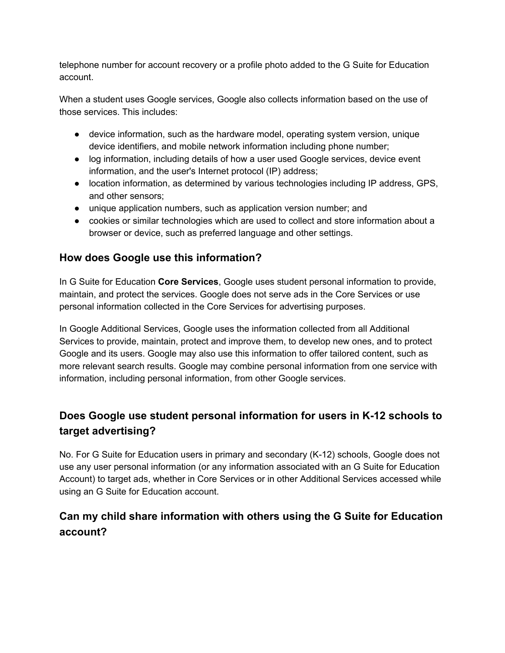telephone number for account recovery or a profile photo added to the G Suite for Education account.

When a student uses Google services, Google also collects information based on the use of those services. This includes:

- device information, such as the hardware model, operating system version, unique device identifiers, and mobile network information including phone number;
- log information, including details of how a user used Google services, device event information, and the user's Internet protocol (IP) address;
- location information, as determined by various technologies including IP address, GPS, and other sensors;
- unique application numbers, such as application version number; and
- cookies or similar technologies which are used to collect and store information about a browser or device, such as preferred language and other settings.

## **How does Google use this information?**

In G Suite for Education **Core Services**, Google uses student personal information to provide, maintain, and protect the services. Google does not serve ads in the Core Services or use personal information collected in the Core Services for advertising purposes.

In Google Additional Services, Google uses the information collected from all Additional Services to provide, maintain, protect and improve them, to develop new ones, and to protect Google and its users. Google may also use this information to offer tailored content, such as more relevant search results. Google may combine personal information from one service with information, including personal information, from other Google services.

# **Does Google use student personal information for users in K-12 schools to target advertising?**

No. For G Suite for Education users in primary and secondary (K-12) schools, Google does not use any user personal information (or any information associated with an G Suite for Education Account) to target ads, whether in Core Services or in other Additional Services accessed while using an G Suite for Education account.

# **Can my child share information with others using the G Suite for Education account?**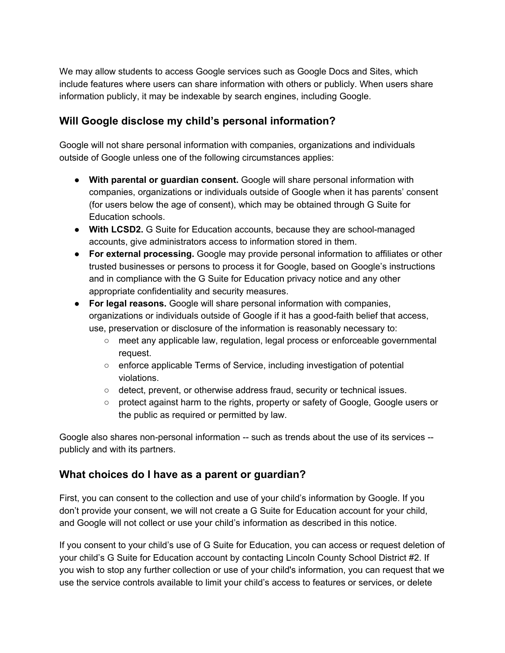We may allow students to access Google services such as Google Docs and Sites, which include features where users can share information with others or publicly. When users share information publicly, it may be indexable by search engines, including Google.

### **Will Google disclose my child's personal information?**

Google will not share personal information with companies, organizations and individuals outside of Google unless one of the following circumstances applies:

- **With parental or guardian consent.** Google will share personal information with companies, organizations or individuals outside of Google when it has parents' consent (for users below the age of consent), which may be obtained through G Suite for Education schools.
- **With LCSD2.** G Suite for Education accounts, because they are school-managed accounts, give administrators access to information stored in them.
- **For external processing.** Google may provide personal information to affiliates or other trusted businesses or persons to process it for Google, based on Google's instructions and in compliance with the G Suite for Education privacy notice and any other appropriate confidentiality and security measures.
- **For legal reasons.** Google will share personal information with companies, organizations or individuals outside of Google if it has a good-faith belief that access, use, preservation or disclosure of the information is reasonably necessary to:
	- meet any applicable law, regulation, legal process or enforceable governmental request.
	- enforce applicable Terms of Service, including investigation of potential violations.
	- detect, prevent, or otherwise address fraud, security or technical issues.
	- protect against harm to the rights, property or safety of Google, Google users or the public as required or permitted by law.

Google also shares non-personal information -- such as trends about the use of its services - publicly and with its partners.

#### **What choices do I have as a parent or guardian?**

First, you can consent to the collection and use of your child's information by Google. If you don't provide your consent, we will not create a G Suite for Education account for your child, and Google will not collect or use your child's information as described in this notice.

If you consent to your child's use of G Suite for Education, you can access or request deletion of your child's G Suite for Education account by contacting Lincoln County School District #2. If you wish to stop any further collection or use of your child's information, you can request that we use the service controls available to limit your child's access to features or services, or delete